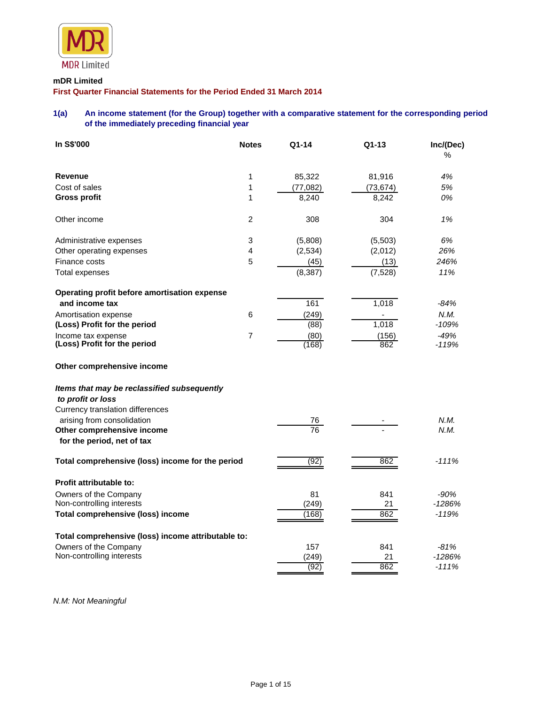

### **mDR Limited**

**First Quarter Financial Statements for the Period Ended 31 March 2014**

# **1(a) An income statement (for the Group) together with a comparative statement for the corresponding period of the immediately preceding financial year**

| In S\$'000                                         | <b>Notes</b>   | Q1-14                        | $Q1-13$   | Inc/(Dec)<br>% |
|----------------------------------------------------|----------------|------------------------------|-----------|----------------|
| <b>Revenue</b>                                     | 1              | 85,322                       | 81,916    | 4%             |
| Cost of sales                                      | 1              | (77, 082)                    | (73, 674) | 5%             |
| <b>Gross profit</b>                                | 1              | 8,240                        | 8,242     | 0%             |
| Other income                                       | 2              | 308                          | 304       | 1%             |
| Administrative expenses                            | 3              | (5,808)                      | (5,503)   | 6%             |
| Other operating expenses                           | $\overline{4}$ | (2, 534)                     | (2,012)   | 26%            |
| Finance costs                                      | 5              | (45)                         | (13)      | 246%           |
| <b>Total expenses</b>                              |                | (8, 387)                     | (7, 528)  | 11%            |
| Operating profit before amortisation expense       |                |                              |           |                |
| and income tax                                     |                | 161                          | 1,018     | $-84%$         |
| Amortisation expense                               | 6              | (249)                        |           | N.M.           |
| (Loss) Profit for the period                       |                | (88)                         | 1,018     | $-109%$        |
| Income tax expense                                 | $\overline{7}$ | (80)                         | (156)     | $-49%$         |
| (Loss) Profit for the period                       |                | (168)                        | 862       | $-119%$        |
| Other comprehensive income                         |                |                              |           |                |
| Items that may be reclassified subsequently        |                |                              |           |                |
| to profit or loss                                  |                |                              |           |                |
| Currency translation differences                   |                |                              |           |                |
| arising from consolidation                         |                | <u>76</u><br>$\overline{76}$ |           | N.M.           |
| Other comprehensive income                         |                |                              |           | N.M.           |
| for the period, net of tax                         |                |                              |           |                |
| Total comprehensive (loss) income for the period   |                | (92)                         | 862       | $-111%$        |
| <b>Profit attributable to:</b>                     |                |                              |           |                |
| Owners of the Company                              |                | 81                           | 841       | $-90%$         |
| Non-controlling interests                          |                | (249)                        | 21        | $-1286%$       |
| <b>Total comprehensive (loss) income</b>           |                | (168)                        | 862       | $-119%$        |
| Total comprehensive (loss) income attributable to: |                |                              |           |                |
| Owners of the Company                              |                | 157                          | 841       | $-81%$         |
| Non-controlling interests                          |                | (249)                        | 21        | -1286%         |
|                                                    |                | (92)                         | 862       | $-111%$        |

*N.M: Not Meaningful*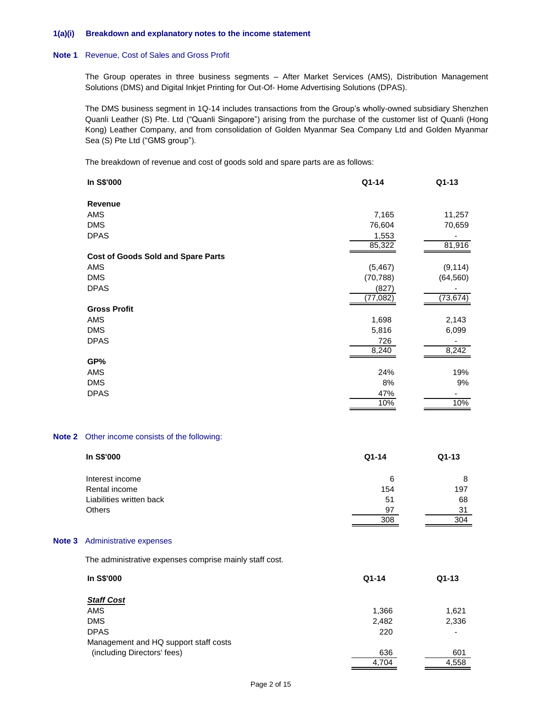#### **1(a)(i) Breakdown and explanatory notes to the income statement**

#### **Note 1** Revenue, Cost of Sales and Gross Profit

The Group operates in three business segments – After Market Services (AMS), Distribution Management Solutions (DMS) and Digital Inkjet Printing for Out-Of- Home Advertising Solutions (DPAS).

The DMS business segment in 1Q-14 includes transactions from the Group's wholly-owned subsidiary Shenzhen Quanli Leather (S) Pte. Ltd ("Quanli Singapore") arising from the purchase of the customer list of Quanli (Hong Kong) Leather Company, and from consolidation of Golden Myanmar Sea Company Ltd and Golden Myanmar Sea (S) Pte Ltd ("GMS group").

The breakdown of revenue and cost of goods sold and spare parts are as follows:

|                   | In S\$'000                                | Q1-14                 | Q1-13                        |
|-------------------|-------------------------------------------|-----------------------|------------------------------|
|                   | Revenue                                   |                       |                              |
|                   | <b>AMS</b>                                | 7,165                 | 11,257                       |
|                   | <b>DMS</b>                                | 76,604                | 70,659                       |
|                   | <b>DPAS</b>                               | 1,553                 |                              |
|                   |                                           | 85,322                | 81,916                       |
|                   | <b>Cost of Goods Sold and Spare Parts</b> |                       |                              |
|                   | AMS                                       | (5, 467)              | (9, 114)                     |
|                   | <b>DMS</b>                                | (70, 788)             | (64, 560)                    |
|                   | <b>DPAS</b>                               | (827)                 |                              |
|                   |                                           | $\overline{(77,082)}$ | (73, 674)                    |
|                   | <b>Gross Profit</b>                       |                       |                              |
|                   | AMS                                       | 1,698                 | 2,143                        |
|                   | <b>DMS</b>                                | 5,816                 | 6,099                        |
|                   | <b>DPAS</b>                               | 726                   | $\qquad \qquad \blacksquare$ |
|                   |                                           | 8,240                 | 8,242                        |
|                   | GP%                                       |                       |                              |
|                   | AMS                                       | 24%                   | 19%                          |
|                   | <b>DMS</b>                                | 8%                    | 9%                           |
|                   | <b>DPAS</b>                               | 47%                   |                              |
|                   |                                           | 10%                   | 10%                          |
| Note 2            | Other income consists of the following:   |                       |                              |
|                   | In S\$'000                                | Q1-14                 | $Q1-13$                      |
|                   | Interest income                           | $\,6$                 | 8                            |
|                   | Rental income                             | 154                   | 197                          |
|                   | Liabilities written back                  | 51                    | 68                           |
|                   | Others                                    | 97                    | 31                           |
|                   |                                           | 308                   | 304                          |
|                   |                                           |                       |                              |
| Note <sub>3</sub> | Administrative expenses                   |                       |                              |
|                   |                                           |                       |                              |

The administrative expenses comprise mainly staff cost.

**Note 2** 

| $Q1 - 14$ | $Q1-13$ |
|-----------|---------|
|           |         |
| 1,366     | 1,621   |
| 2,482     | 2,336   |
| 220       |         |
|           |         |
| 636       | 601     |
| 4,704     | 4,558   |
|           |         |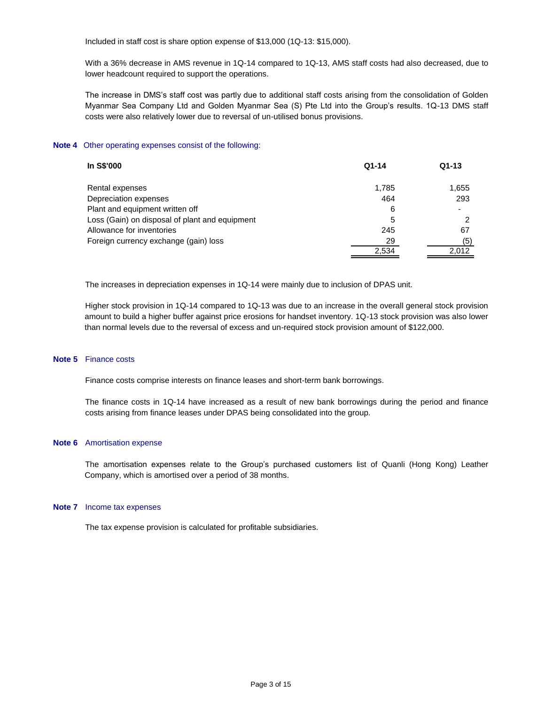Included in staff cost is share option expense of \$13,000 (1Q-13: \$15,000).

With a 36% decrease in AMS revenue in 1Q-14 compared to 1Q-13, AMS staff costs had also decreased, due to lower headcount required to support the operations.

The increase in DMS's staff cost was partly due to additional staff costs arising from the consolidation of Golden Myanmar Sea Company Ltd and Golden Myanmar Sea (S) Pte Ltd into the Group's results. 1Q-13 DMS staff costs were also relatively lower due to reversal of un-utilised bonus provisions.

#### **Note 4** Other operating expenses consist of the following:

| In S\$'000                                     | $Q1-14$ | $Q1-13$ |
|------------------------------------------------|---------|---------|
| Rental expenses                                | 1.785   | 1,655   |
| Depreciation expenses                          | 464     | 293     |
| Plant and equipment written off                | 6       |         |
| Loss (Gain) on disposal of plant and equipment | 5       |         |
| Allowance for inventories                      | 245     | 67      |
| Foreign currency exchange (gain) loss          | 29      | (5)     |
|                                                | 2,534   | 2,012   |
|                                                |         |         |

The increases in depreciation expenses in 1Q-14 were mainly due to inclusion of DPAS unit.

Higher stock provision in 1Q-14 compared to 1Q-13 was due to an increase in the overall general stock provision amount to build a higher buffer against price erosions for handset inventory. 1Q-13 stock provision was also lower than normal levels due to the reversal of excess and un-required stock provision amount of \$122,000.

#### **Note 5** Finance costs

Finance costs comprise interests on finance leases and short-term bank borrowings.

The finance costs in 1Q-14 have increased as a result of new bank borrowings during the period and finance costs arising from finance leases under DPAS being consolidated into the group.

#### **Note 6** Amortisation expense

The amortisation expenses relate to the Group's purchased customers list of Quanli (Hong Kong) Leather Company, which is amortised over a period of 38 months.

#### **Note 7** Income tax expenses

The tax expense provision is calculated for profitable subsidiaries.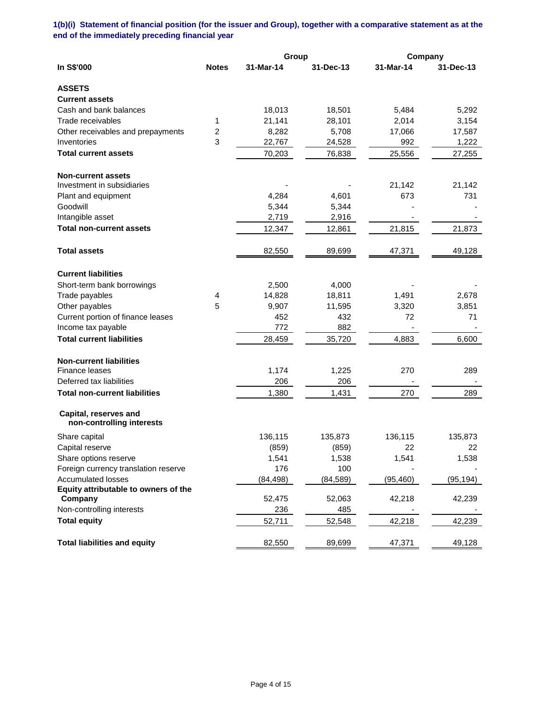**1(b)(i) Statement of financial position (for the issuer and Group), together with a comparative statement as at the end of the immediately preceding financial year**

|                                                    |              | Group     |           | Company   |           |
|----------------------------------------------------|--------------|-----------|-----------|-----------|-----------|
| In S\$'000                                         | <b>Notes</b> | 31-Mar-14 | 31-Dec-13 | 31-Mar-14 | 31-Dec-13 |
| <b>ASSETS</b>                                      |              |           |           |           |           |
| <b>Current assets</b>                              |              |           |           |           |           |
| Cash and bank balances                             |              | 18,013    | 18,501    | 5,484     | 5,292     |
| Trade receivables                                  | 1            | 21,141    | 28,101    | 2,014     | 3,154     |
| Other receivables and prepayments                  | 2            | 8,282     | 5,708     | 17,066    | 17,587    |
| Inventories                                        | 3            | 22,767    | 24,528    | 992       | 1,222     |
| <b>Total current assets</b>                        |              | 70,203    | 76,838    | 25,556    | 27,255    |
| <b>Non-current assets</b>                          |              |           |           |           |           |
| Investment in subsidiaries                         |              |           |           | 21,142    | 21,142    |
| Plant and equipment                                |              | 4,284     | 4,601     | 673       | 731       |
| Goodwill                                           |              | 5,344     | 5,344     |           |           |
| Intangible asset                                   |              | 2,719     | 2,916     |           |           |
| <b>Total non-current assets</b>                    |              | 12,347    | 12,861    | 21,815    | 21,873    |
| <b>Total assets</b>                                |              | 82,550    | 89,699    | 47,371    | 49,128    |
| <b>Current liabilities</b>                         |              |           |           |           |           |
| Short-term bank borrowings                         |              | 2,500     | 4,000     |           |           |
| Trade payables                                     | 4            | 14,828    | 18,811    | 1,491     | 2,678     |
| Other payables                                     | 5            | 9,907     | 11,595    | 3,320     | 3,851     |
| Current portion of finance leases                  |              | 452       | 432       | 72        | 71        |
| Income tax payable                                 |              | 772       | 882       |           |           |
| <b>Total current liabilities</b>                   |              | 28,459    | 35,720    | 4,883     | 6,600     |
| <b>Non-current liabilities</b>                     |              |           |           |           |           |
| <b>Finance leases</b>                              |              | 1,174     | 1,225     | 270       | 289       |
| Deferred tax liabilities                           |              | 206       | 206       |           |           |
| <b>Total non-current liabilities</b>               |              | 1,380     | 1,431     | 270       | 289       |
| Capital, reserves and<br>non-controlling interests |              |           |           |           |           |
| Share capital                                      |              | 136,115   | 135,873   | 136,115   | 135,873   |
| Capital reserve                                    |              | (859)     | (859)     | 22        | 22        |
| Share options reserve                              |              | 1,541     | 1,538     | 1,541     | 1,538     |
| Foreign currency translation reserve               |              | 176       | 100       |           |           |
| <b>Accumulated losses</b>                          |              | (84, 498) | (84, 589) | (95, 460) | (95, 194) |
| Equity attributable to owners of the               |              |           |           |           |           |
| Company                                            |              | 52,475    | 52,063    | 42,218    | 42,239    |
| Non-controlling interests                          |              | 236       | 485       |           |           |
| <b>Total equity</b>                                |              | 52,711    | 52,548    | 42,218    | 42,239    |
| <b>Total liabilities and equity</b>                |              | 82,550    | 89,699    | 47,371    | 49,128    |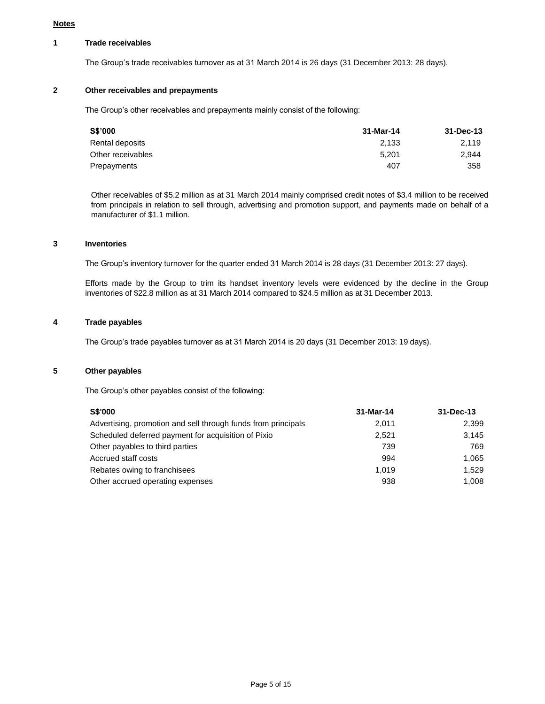#### **Notes**

### **1 Trade receivables**

The Group's trade receivables turnover as at 31 March 2014 is 26 days (31 December 2013: 28 days).

### **2 Other receivables and prepayments**

The Group's other receivables and prepayments mainly consist of the following:

| 31-Mar-14 | 31-Dec-13 |
|-----------|-----------|
| 2.133     | 2.119     |
| 5.201     | 2.944     |
| 407       | 358       |
|           |           |

Other receivables of \$5.2 million as at 31 March 2014 mainly comprised credit notes of \$3.4 million to be received from principals in relation to sell through, advertising and promotion support, and payments made on behalf of a manufacturer of \$1.1 million.

### **3 Inventories**

The Group's inventory turnover for the quarter ended 31 March 2014 is 28 days (31 December 2013: 27 days).

Efforts made by the Group to trim its handset inventory levels were evidenced by the decline in the Group inventories of \$22.8 million as at 31 March 2014 compared to \$24.5 million as at 31 December 2013.

# **4 Trade payables**

The Group's trade payables turnover as at 31 March 2014 is 20 days (31 December 2013: 19 days).

### **5 Other payables**

The Group's other payables consist of the following:

| <b>S\$'000</b>                                                | 31-Mar-14 | 31-Dec-13 |
|---------------------------------------------------------------|-----------|-----------|
| Advertising, promotion and sell through funds from principals | 2.011     | 2,399     |
| Scheduled deferred payment for acquisition of Pixio           | 2.521     | 3.145     |
| Other payables to third parties                               | 739       | 769       |
| Accrued staff costs                                           | 994       | 1.065     |
| Rebates owing to franchisees                                  | 1.019     | 1.529     |
| Other accrued operating expenses                              | 938       | 1.008     |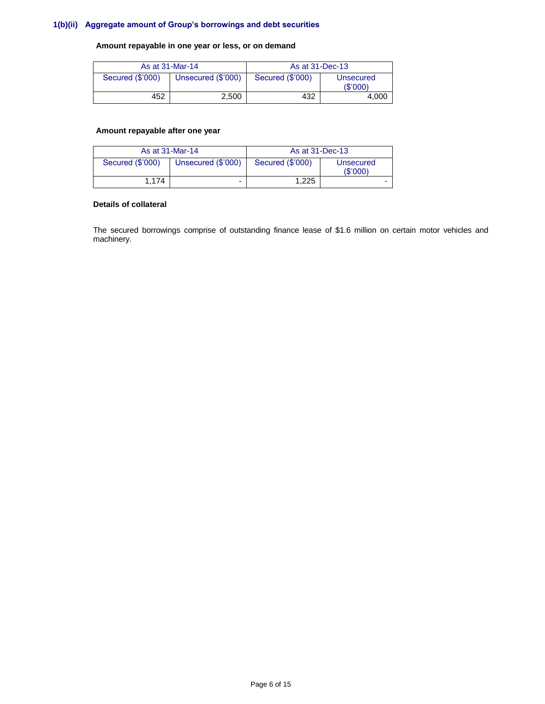# **1(b)(ii) Aggregate amount of Group's borrowings and debt securities**

# **Amount repayable in one year or less, or on demand**

|                  | As at 31-Mar-14    | As at 31-Dec-13  |                       |  |
|------------------|--------------------|------------------|-----------------------|--|
| Secured (\$'000) | Unsecured (\$'000) | Secured (\$'000) | Unsecured<br>(\$'000) |  |
| 452              | 2.500              | 432              | 4.000                 |  |

### **Amount repayable after one year**

| As at 31-Mar-14  |                    | As at 31-Dec-13  |                             |
|------------------|--------------------|------------------|-----------------------------|
| Secured (\$'000) | Unsecured (\$'000) | Secured (\$'000) | <b>Unsecured</b><br>(S'000) |
| 1.174            | -                  | 1.225            |                             |

#### **Details of collateral**

The secured borrowings comprise of outstanding finance lease of \$1.6 million on certain motor vehicles and machinery.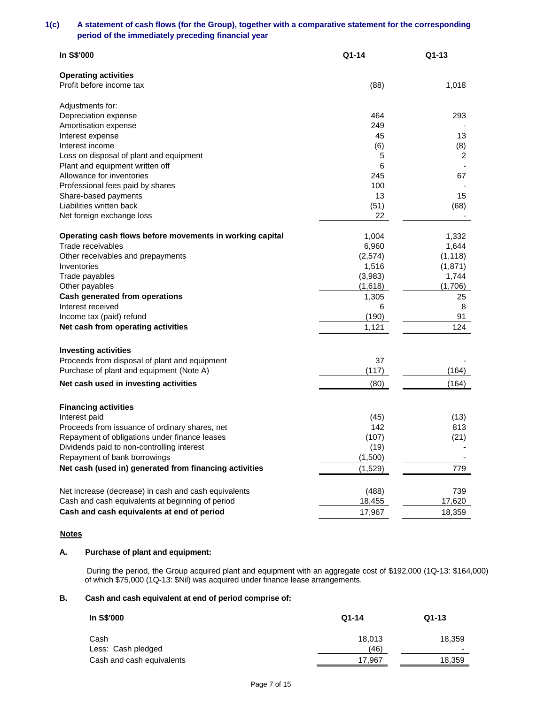## **1(c) A statement of cash flows (for the Group), together with a comparative statement for the corresponding period of the immediately preceding financial year**

| In S\$'000                                               | $Q1 - 14$        | Q1-13            |
|----------------------------------------------------------|------------------|------------------|
| <b>Operating activities</b>                              |                  |                  |
| Profit before income tax                                 | (88)             | 1,018            |
| Adjustments for:                                         |                  |                  |
| Depreciation expense                                     | 464              | 293              |
| Amortisation expense                                     | 249<br>45        |                  |
| Interest expense<br>Interest income                      | (6)              | 13<br>(8)        |
| Loss on disposal of plant and equipment                  | 5                | 2                |
| Plant and equipment written off                          | 6                |                  |
| Allowance for inventories                                | 245              | 67               |
| Professional fees paid by shares                         | 100              |                  |
| Share-based payments                                     | 13               | 15               |
| Liabilities written back                                 | (51)             | (68)             |
| Net foreign exchange loss                                | 22               |                  |
| Operating cash flows before movements in working capital | 1,004            | 1,332            |
| Trade receivables                                        | 6,960            | 1,644            |
| Other receivables and prepayments                        | (2, 574)         | (1, 118)         |
| Inventories<br>Trade payables                            | 1,516<br>(3,983) | (1,871)<br>1,744 |
| Other payables                                           | (1,618)          | (1,706)          |
| Cash generated from operations                           | 1,305            | 25               |
| Interest received                                        | 6                | 8                |
| Income tax (paid) refund                                 | (190)            | 91               |
| Net cash from operating activities                       | 1,121            | 124              |
| <b>Investing activities</b>                              |                  |                  |
| Proceeds from disposal of plant and equipment            | 37               |                  |
| Purchase of plant and equipment (Note A)                 | (117)            | (164)            |
| Net cash used in investing activities                    | (80)             | (164)            |
| <b>Financing activities</b>                              |                  |                  |
| Interest paid                                            | (45)             | (13)             |
| Proceeds from issuance of ordinary shares, net           | 142              | 813              |
| Repayment of obligations under finance leases            | (107)            | (21)             |
| Dividends paid to non-controlling interest               | (19)             |                  |
| Repayment of bank borrowings                             | (1,500)          |                  |
| Net cash (used in) generated from financing activities   | (1,529)          | 779              |
| Net increase (decrease) in cash and cash equivalents     | (488)            | 739              |
| Cash and cash equivalents at beginning of period         | 18,455           | 17,620           |
| Cash and cash equivalents at end of period               | 17,967           | 18,359           |

### **Notes**

# **A. Purchase of plant and equipment:**

During the period, the Group acquired plant and equipment with an aggregate cost of \$192,000 (1Q-13: \$164,000) of which \$75,000 (1Q-13: \$Nil) was acquired under finance lease arrangements.

### **B. Cash and cash equivalent at end of period comprise of:**

| In S\$'000                | $Q1-14$ | $Q1-13$ |  |
|---------------------------|---------|---------|--|
| Cash                      | 18.013  | 18,359  |  |
| Less: Cash pledged        | (46)    | -       |  |
| Cash and cash equivalents | 17.967  | 18,359  |  |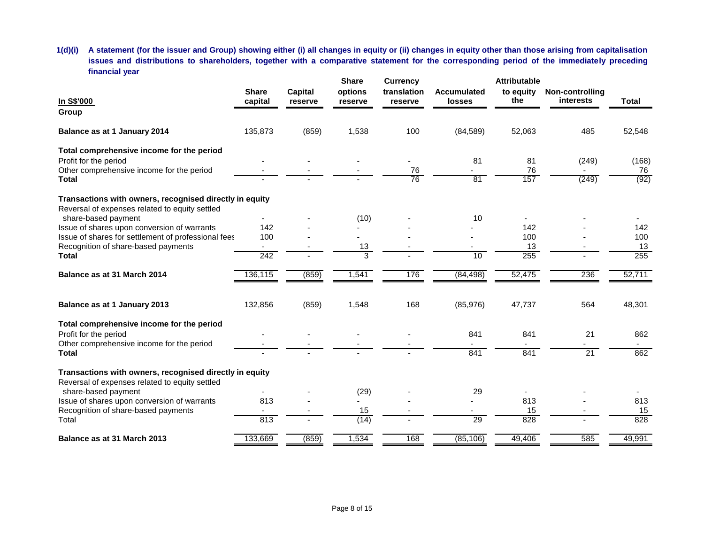**1(d)(i) A statement (for the issuer and Group) showing either (i) all changes in equity or (ii) changes in equity other than those arising from capitalisation issues and distributions to shareholders, together with a comparative statement for the corresponding period of the immediately preceding financial year**

|                                                         |                  |                | <b>Share</b> | <b>Currency</b> |                    | <b>Attributable</b> |                 |              |
|---------------------------------------------------------|------------------|----------------|--------------|-----------------|--------------------|---------------------|-----------------|--------------|
|                                                         | <b>Share</b>     | <b>Capital</b> | options      | translation     | <b>Accumulated</b> | to equity           | Non-controlling |              |
| In S\$'000                                              | capital          | reserve        | reserve      | reserve         | <b>losses</b>      | the                 | interests       | <b>Total</b> |
| Group                                                   |                  |                |              |                 |                    |                     |                 |              |
| Balance as at 1 January 2014                            | 135,873          | (859)          | 1,538        | 100             | (84, 589)          | 52,063              | 485             | 52,548       |
| Total comprehensive income for the period               |                  |                |              |                 |                    |                     |                 |              |
| Profit for the period                                   |                  |                |              |                 | 81                 | 81                  | (249)           | (168)        |
| Other comprehensive income for the period               |                  |                |              | 76              |                    | 76                  |                 | 76           |
| <b>Total</b>                                            |                  |                |              | 76              | 81                 | 157                 | (249)           | (92)         |
| Transactions with owners, recognised directly in equity |                  |                |              |                 |                    |                     |                 |              |
| Reversal of expenses related to equity settled          |                  |                |              |                 |                    |                     |                 |              |
| share-based payment                                     |                  |                | (10)         |                 | 10                 |                     |                 |              |
| Issue of shares upon conversion of warrants             | 142              |                |              |                 |                    | 142                 |                 | 142          |
| Issue of shares for settlement of professional fees     | 100              |                |              |                 |                    | 100                 |                 | 100          |
| Recognition of share-based payments                     |                  |                | 13           |                 |                    | 13                  |                 | 13           |
| <b>Total</b>                                            | $\overline{242}$ |                | 3            |                 | $\overline{10}$    | 255                 |                 | 255          |
| Balance as at 31 March 2014                             | 136,115          | (859)          | 1,541        | 176             | (84, 498)          | 52,475              | 236             | 52,711       |
| Balance as at 1 January 2013                            | 132,856          | (859)          | 1,548        | 168             | (85,976)           | 47,737              | 564             | 48,301       |
| Total comprehensive income for the period               |                  |                |              |                 |                    |                     |                 |              |
| Profit for the period                                   |                  |                |              |                 | 841                | 841                 | 21              | 862          |
| Other comprehensive income for the period               |                  |                |              |                 |                    |                     |                 |              |
| <b>Total</b>                                            |                  |                |              |                 | 841                | 841                 | $\overline{21}$ | 862          |
| Transactions with owners, recognised directly in equity |                  |                |              |                 |                    |                     |                 |              |
| Reversal of expenses related to equity settled          |                  |                |              |                 |                    |                     |                 |              |
| share-based payment                                     |                  |                | (29)         |                 | 29                 |                     |                 |              |
| Issue of shares upon conversion of warrants             | 813              |                |              |                 |                    | 813                 |                 | 813          |
| Recognition of share-based payments                     |                  |                | 15           |                 |                    | 15                  |                 | 15           |
| Total                                                   | 813              |                | (14)         |                 | 29                 | 828                 |                 | 828          |
| Balance as at 31 March 2013                             | 133,669          | (859)          | 1,534        | 168             | (85, 106)          | 49,406              | 585             | 49,991       |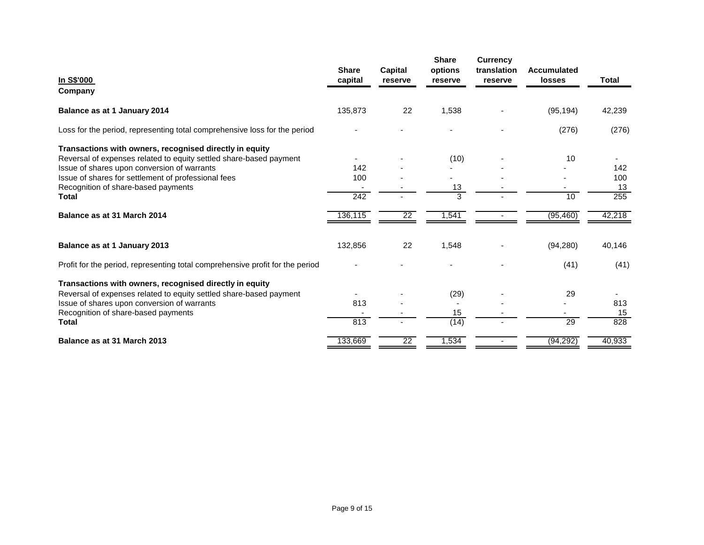|                                                                               |                         |                    | <b>Share</b>       | <b>Currency</b>        |                              |              |
|-------------------------------------------------------------------------------|-------------------------|--------------------|--------------------|------------------------|------------------------------|--------------|
| In S\$'000                                                                    | <b>Share</b><br>capital | Capital<br>reserve | options<br>reserve | translation<br>reserve | <b>Accumulated</b><br>losses | <b>Total</b> |
| Company                                                                       |                         |                    |                    |                        |                              |              |
|                                                                               |                         |                    |                    |                        |                              |              |
| Balance as at 1 January 2014                                                  | 135,873                 | 22                 | 1,538              |                        | (95, 194)                    | 42,239       |
| Loss for the period, representing total comprehensive loss for the period     |                         |                    |                    |                        | (276)                        | (276)        |
| Transactions with owners, recognised directly in equity                       |                         |                    |                    |                        |                              |              |
| Reversal of expenses related to equity settled share-based payment            |                         |                    | (10)               |                        | 10                           |              |
| Issue of shares upon conversion of warrants                                   | 142                     |                    |                    |                        |                              | 142          |
| Issue of shares for settlement of professional fees                           | 100                     |                    |                    |                        |                              | 100          |
| Recognition of share-based payments                                           |                         |                    | 13                 |                        |                              | 13           |
| Total                                                                         | 242                     |                    | 3                  |                        | 10                           | 255          |
| Balance as at 31 March 2014                                                   | 136,115                 | $\overline{22}$    | 1,541              |                        | (95, 460)                    | 42,218       |
| Balance as at 1 January 2013                                                  | 132,856                 | 22                 | 1,548              |                        | (94, 280)                    | 40,146       |
| Profit for the period, representing total comprehensive profit for the period |                         |                    |                    |                        | (41)                         | (41)         |
| Transactions with owners, recognised directly in equity                       |                         |                    |                    |                        |                              |              |
| Reversal of expenses related to equity settled share-based payment            |                         |                    | (29)               |                        | 29                           |              |
| Issue of shares upon conversion of warrants                                   | 813                     |                    |                    |                        |                              | 813          |
| Recognition of share-based payments                                           |                         |                    | 15                 |                        |                              | 15           |
| <b>Total</b>                                                                  | 813                     |                    | (14)               |                        | 29                           | 828          |
| Balance as at 31 March 2013                                                   | 133,669                 | $\overline{22}$    | 1,534              |                        | (94, 292)                    | 40,933       |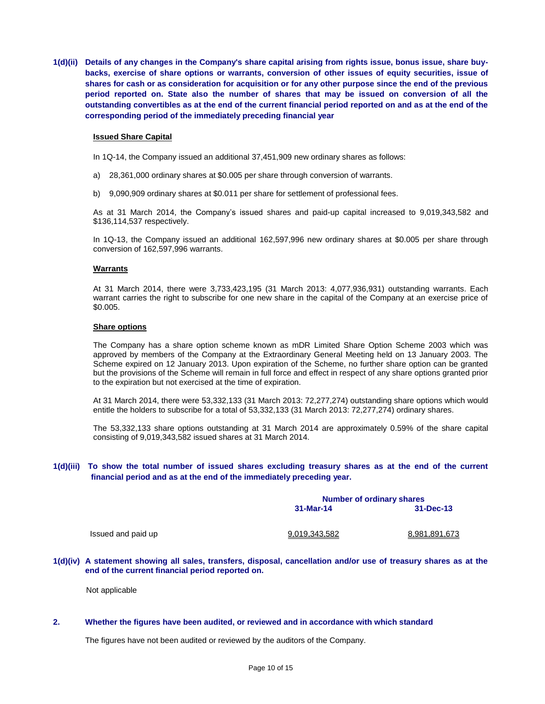**1(d)(ii) Details of any changes in the Company's share capital arising from rights issue, bonus issue, share buybacks, exercise of share options or warrants, conversion of other issues of equity securities, issue of shares for cash or as consideration for acquisition or for any other purpose since the end of the previous period reported on. State also the number of shares that may be issued on conversion of all the outstanding convertibles as at the end of the current financial period reported on and as at the end of the corresponding period of the immediately preceding financial year**

#### **Issued Share Capital**

In 1Q-14, the Company issued an additional 37,451,909 new ordinary shares as follows:

- a) 28,361,000 ordinary shares at \$0.005 per share through conversion of warrants.
- b) 9,090,909 ordinary shares at \$0.011 per share for settlement of professional fees.

As at 31 March 2014, the Company's issued shares and paid-up capital increased to 9,019,343,582 and \$136,114,537 respectively.

In 1Q-13, the Company issued an additional 162,597,996 new ordinary shares at \$0.005 per share through conversion of 162,597,996 warrants.

#### **Warrants**

At 31 March 2014, there were 3,733,423,195 (31 March 2013: 4,077,936,931) outstanding warrants. Each warrant carries the right to subscribe for one new share in the capital of the Company at an exercise price of \$0.005.

#### **Share options**

The Company has a share option scheme known as mDR Limited Share Option Scheme 2003 which was approved by members of the Company at the Extraordinary General Meeting held on 13 January 2003. The Scheme expired on 12 January 2013. Upon expiration of the Scheme, no further share option can be granted but the provisions of the Scheme will remain in full force and effect in respect of any share options granted prior to the expiration but not exercised at the time of expiration.

At 31 March 2014, there were 53,332,133 (31 March 2013: 72,277,274) outstanding share options which would entitle the holders to subscribe for a total of 53,332,133 (31 March 2013: 72,277,274) ordinary shares.

The 53,332,133 share options outstanding at 31 March 2014 are approximately 0.59% of the share capital consisting of 9,019,343,582 issued shares at 31 March 2014.

#### **1(d)(iii) To show the total number of issued shares excluding treasury shares as at the end of the current financial period and as at the end of the immediately preceding year.**

|                    |               | <b>Number of ordinary shares</b> |  |  |  |
|--------------------|---------------|----------------------------------|--|--|--|
|                    | $31-Mar-14$   | 31-Dec-13                        |  |  |  |
| Issued and paid up | 9,019,343,582 | 8,981,891,673                    |  |  |  |
|                    |               |                                  |  |  |  |

### **1(d)(iv) A statement showing all sales, transfers, disposal, cancellation and/or use of treasury shares as at the end of the current financial period reported on.**

Not applicable

#### **2. Whether the figures have been audited, or reviewed and in accordance with which standard**

The figures have not been audited or reviewed by the auditors of the Company.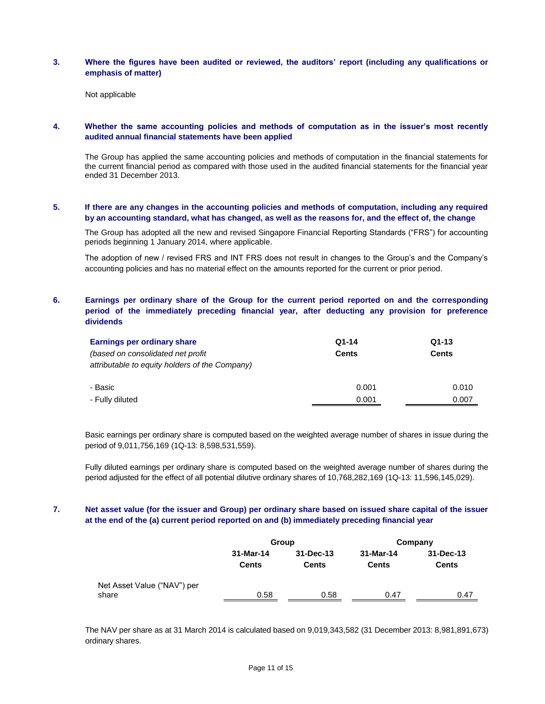#### **3. Where the figures have been audited or reviewed, the auditors' report (including any qualifications or emphasis of matter)**

Not applicable

### **4. Whether the same accounting policies and methods of computation as in the issuer's most recently audited annual financial statements have been applied**

The Group has applied the same accounting policies and methods of computation in the financial statements for the current financial period as compared with those used in the audited financial statements for the financial year ended 31 December 2013.

### **5. If there are any changes in the accounting policies and methods of computation, including any required by an accounting standard, what has changed, as well as the reasons for, and the effect of, the change**

The Group has adopted all the new and revised Singapore Financial Reporting Standards ("FRS") for accounting periods beginning 1 January 2014, where applicable.

The adoption of new / revised FRS and INT FRS does not result in changes to the Group's and the Company's accounting policies and has no material effect on the amounts reported for the current or prior period.

### **6. Earnings per ordinary share of the Group for the current period reported on and the corresponding period of the immediately preceding financial year, after deducting any provision for preference dividends**

| Earnings per ordinary share                    | $Q1-14$      | $Q1-13$ |  |  |
|------------------------------------------------|--------------|---------|--|--|
| (based on consolidated net profit)             | <b>Cents</b> | Cents   |  |  |
| attributable to equity holders of the Company) |              |         |  |  |
|                                                |              |         |  |  |
| - Basic                                        | 0.001        | 0.010   |  |  |
| - Fully diluted                                | 0.001        | 0.007   |  |  |

Basic earnings per ordinary share is computed based on the weighted average number of shares in issue during the period of 9,011,756,169 (1Q-13: 8,598,531,559).

Fully diluted earnings per ordinary share is computed based on the weighted average number of shares during the period adjusted for the effect of all potential dilutive ordinary shares of 10,768,282,169 (1Q-13: 11,596,145,029).

### **7. Net asset value (for the issuer and Group) per ordinary share based on issued share capital of the issuer at the end of the (a) current period reported on and (b) immediately preceding financial year**

|                             |                           | Group              | Company                   |                           |  |
|-----------------------------|---------------------------|--------------------|---------------------------|---------------------------|--|
|                             | 31-Mar-14<br><b>Cents</b> | 31-Dec-13<br>Cents | 31-Mar-14<br><b>Cents</b> | 31-Dec-13<br><b>Cents</b> |  |
| Net Asset Value ("NAV") per |                           |                    |                           |                           |  |
| share                       | 0.58                      | 0.58               | 0.47                      | 0.47                      |  |

The NAV per share as at 31 March 2014 is calculated based on 9,019,343,582 (31 December 2013: 8,981,891,673) ordinary shares.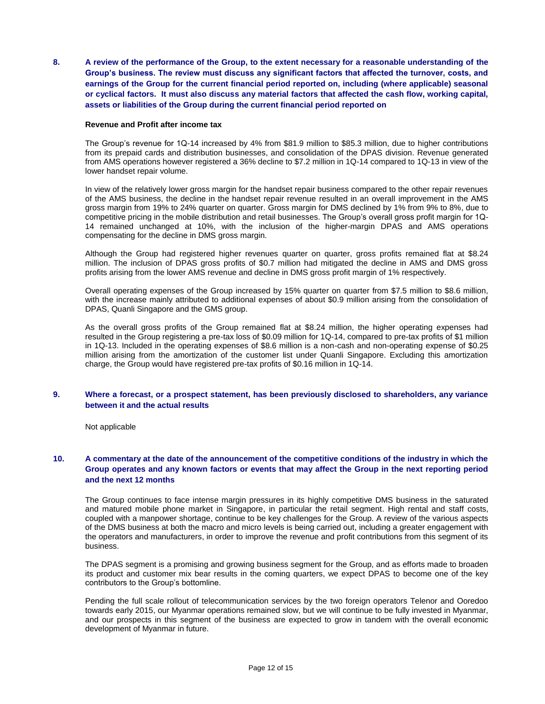**8. A review of the performance of the Group, to the extent necessary for a reasonable understanding of the Group's business. The review must discuss any significant factors that affected the turnover, costs, and earnings of the Group for the current financial period reported on, including (where applicable) seasonal or cyclical factors. It must also discuss any material factors that affected the cash flow, working capital, assets or liabilities of the Group during the current financial period reported on**

#### **Revenue and Profit after income tax**

The Group's revenue for 1Q-14 increased by 4% from \$81.9 million to \$85.3 million, due to higher contributions from its prepaid cards and distribution businesses, and consolidation of the DPAS division. Revenue generated from AMS operations however registered a 36% decline to \$7.2 million in 1Q-14 compared to 1Q-13 in view of the lower handset repair volume.

In view of the relatively lower gross margin for the handset repair business compared to the other repair revenues of the AMS business, the decline in the handset repair revenue resulted in an overall improvement in the AMS gross margin from 19% to 24% quarter on quarter. Gross margin for DMS declined by 1% from 9% to 8%, due to competitive pricing in the mobile distribution and retail businesses. The Group's overall gross profit margin for 1Q-14 remained unchanged at 10%, with the inclusion of the higher-margin DPAS and AMS operations compensating for the decline in DMS gross margin.

Although the Group had registered higher revenues quarter on quarter, gross profits remained flat at \$8.24 million. The inclusion of DPAS gross profits of \$0.7 million had mitigated the decline in AMS and DMS gross profits arising from the lower AMS revenue and decline in DMS gross profit margin of 1% respectively.

Overall operating expenses of the Group increased by 15% quarter on quarter from \$7.5 million to \$8.6 million, with the increase mainly attributed to additional expenses of about \$0.9 million arising from the consolidation of DPAS, Quanli Singapore and the GMS group.

As the overall gross profits of the Group remained flat at \$8.24 million, the higher operating expenses had resulted in the Group registering a pre-tax loss of \$0.09 million for 1Q-14, compared to pre-tax profits of \$1 million in 1Q-13. Included in the operating expenses of \$8.6 million is a non-cash and non-operating expense of \$0.25 million arising from the amortization of the customer list under Quanli Singapore. Excluding this amortization charge, the Group would have registered pre-tax profits of \$0.16 million in 1Q-14.

### **9. Where a forecast, or a prospect statement, has been previously disclosed to shareholders, any variance between it and the actual results**

Not applicable

### **10. A commentary at the date of the announcement of the competitive conditions of the industry in which the Group operates and any known factors or events that may affect the Group in the next reporting period and the next 12 months**

The Group continues to face intense margin pressures in its highly competitive DMS business in the saturated and matured mobile phone market in Singapore, in particular the retail segment. High rental and staff costs, coupled with a manpower shortage, continue to be key challenges for the Group. A review of the various aspects of the DMS business at both the macro and micro levels is being carried out, including a greater engagement with the operators and manufacturers, in order to improve the revenue and profit contributions from this segment of its business.

The DPAS segment is a promising and growing business segment for the Group, and as efforts made to broaden its product and customer mix bear results in the coming quarters, we expect DPAS to become one of the key contributors to the Group's bottomline.

Pending the full scale rollout of telecommunication services by the two foreign operators Telenor and Ooredoo towards early 2015, our Myanmar operations remained slow, but we will continue to be fully invested in Myanmar, and our prospects in this segment of the business are expected to grow in tandem with the overall economic development of Myanmar in future.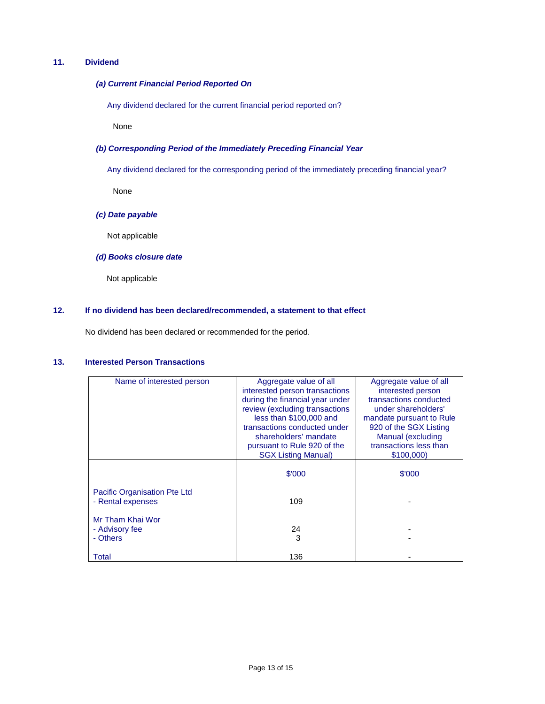# **11. Dividend**

#### *(a) Current Financial Period Reported On*

Any dividend declared for the current financial period reported on?

None

### *(b) Corresponding Period of the Immediately Preceding Financial Year*

Any dividend declared for the corresponding period of the immediately preceding financial year?

None

### *(c) Date payable*

Not applicable

### *(d) Books closure date*

Not applicable

### **12. If no dividend has been declared/recommended, a statement to that effect**

No dividend has been declared or recommended for the period.

### **13. Interested Person Transactions**

| Name of interested person                         | Aggregate value of all<br>interested person transactions<br>during the financial year under<br>review (excluding transactions<br>less than \$100,000 and<br>transactions conducted under<br>shareholders' mandate<br>pursuant to Rule 920 of the<br><b>SGX Listing Manual)</b> | Aggregate value of all<br>interested person<br>transactions conducted<br>under shareholders'<br>mandate pursuant to Rule<br>920 of the SGX Listing<br>Manual (excluding<br>transactions less than<br>\$100,000) |  |
|---------------------------------------------------|--------------------------------------------------------------------------------------------------------------------------------------------------------------------------------------------------------------------------------------------------------------------------------|-----------------------------------------------------------------------------------------------------------------------------------------------------------------------------------------------------------------|--|
|                                                   | \$'000                                                                                                                                                                                                                                                                         | \$'000                                                                                                                                                                                                          |  |
| Pacific Organisation Pte Ltd<br>- Rental expenses | 109                                                                                                                                                                                                                                                                            |                                                                                                                                                                                                                 |  |
| Mr Tham Khai Wor<br>- Advisory fee<br>- Others    | 24<br>3                                                                                                                                                                                                                                                                        |                                                                                                                                                                                                                 |  |
| Total                                             | 136                                                                                                                                                                                                                                                                            |                                                                                                                                                                                                                 |  |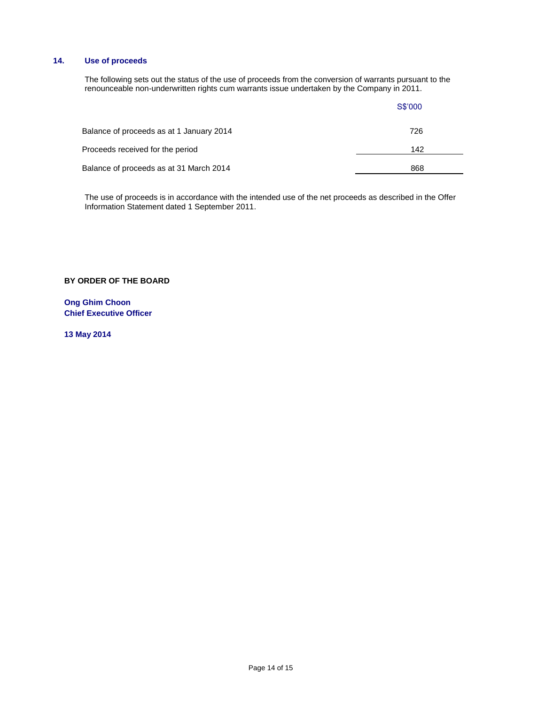# **14. Use of proceeds**

The following sets out the status of the use of proceeds from the conversion of warrants pursuant to the renounceable non-underwritten rights cum warrants issue undertaken by the Company in 2011.

|                                          | S\$'000 |  |
|------------------------------------------|---------|--|
| Balance of proceeds as at 1 January 2014 | 726     |  |
| Proceeds received for the period         | 142     |  |
| Balance of proceeds as at 31 March 2014  | 868     |  |

The use of proceeds is in accordance with the intended use of the net proceeds as described in the Offer Information Statement dated 1 September 2011.

**BY ORDER OF THE BOARD**

**Ong Ghim Choon Chief Executive Officer**

**13 May 2014**